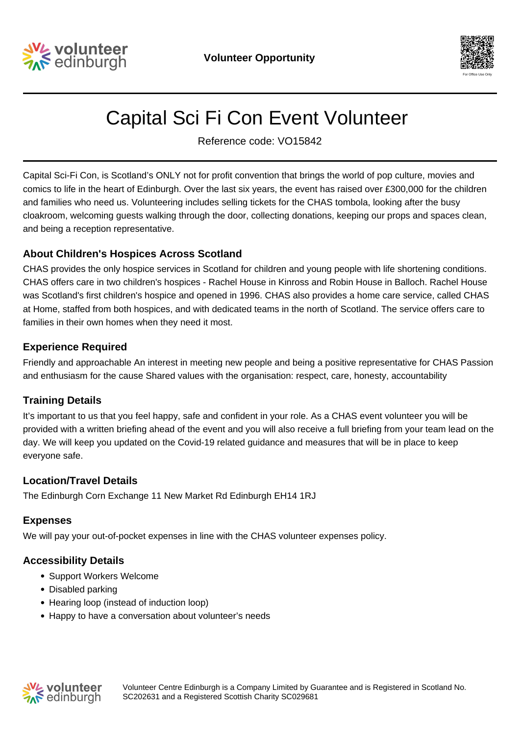



# Capital Sci Fi Con Event Volunteer

Reference code: VO15842

Capital Sci-Fi Con, is Scotland's ONLY not for profit convention that brings the world of pop culture, movies and comics to life in the heart of Edinburgh. Over the last six years, the event has raised over £300,000 for the children and families who need us. Volunteering includes selling tickets for the CHAS tombola, looking after the busy cloakroom, welcoming guests walking through the door, collecting donations, keeping our props and spaces clean, and being a reception representative.

## **About Children's Hospices Across Scotland**

CHAS provides the only hospice services in Scotland for children and young people with life shortening conditions. CHAS offers care in two children's hospices - Rachel House in Kinross and Robin House in Balloch. Rachel House was Scotland's first children's hospice and opened in 1996. CHAS also provides a home care service, called CHAS at Home, staffed from both hospices, and with dedicated teams in the north of Scotland. The service offers care to families in their own homes when they need it most.

## **Experience Required**

Friendly and approachable An interest in meeting new people and being a positive representative for CHAS Passion and enthusiasm for the cause Shared values with the organisation: respect, care, honesty, accountability

## **Training Details**

It's important to us that you feel happy, safe and confident in your role. As a CHAS event volunteer you will be provided with a written briefing ahead of the event and you will also receive a full briefing from your team lead on the day. We will keep you updated on the Covid-19 related guidance and measures that will be in place to keep everyone safe.

## **Location/Travel Details**

The Edinburgh Corn Exchange 11 New Market Rd Edinburgh EH14 1RJ

## **Expenses**

We will pay your out-of-pocket expenses in line with the CHAS volunteer expenses policy.

# **Accessibility Details**

- Support Workers Welcome
- Disabled parking
- Hearing loop (instead of induction loop)
- Happy to have a conversation about volunteer's needs